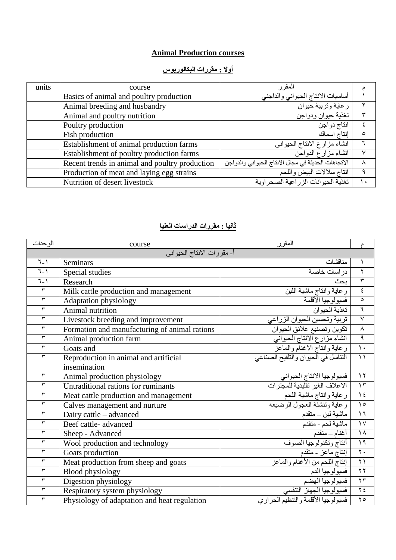## **Animal Production courses**

## **أوال : مقررات البكالوريوس**

| units | course                                         | المقر ر                                             |         |
|-------|------------------------------------------------|-----------------------------------------------------|---------|
|       | Basics of animal and poultry production        | أساسيات الانتاج الحيواني والداجني                   |         |
|       | Animal breeding and husbandry                  | ر عاية وتربية حيوان                                 |         |
|       | Animal and poultry nutrition                   | تغذية حيوان ودواجن                                  |         |
|       | Poultry production                             | انتاج دواجن                                         |         |
|       | Fish production                                | إنتاج اسماك                                         | $\circ$ |
|       | Establishment of animal production farms       | انشاء مزارع الانتاج الحيواني                        |         |
|       | Establishment of poultry production farms      | انشاء مزارع الدواجن                                 | v       |
|       | Recent trends in animal and poultry production | الاتجاهات الحديثة في مجال الانتاج الحيواني والدواجن |         |
|       | Production of meat and laying egg strains      | انتاج سلالات البيض واللحم                           | ٩       |
|       | Nutrition of desert livestock                  | تغذية الحيو انات الزر اعية الصحر اوية               |         |

## **ثانيا : مقررات الدراسات العليا**

| الو حدات                   | course                                        | المقرر                                                | م                         |
|----------------------------|-----------------------------------------------|-------------------------------------------------------|---------------------------|
| أـ مقررات الانتاج الحيواني |                                               |                                                       |                           |
| $7 - 1$                    | Seminars                                      | مناقشات                                               |                           |
| $7 - 1$                    | Special studies                               | در اسات خاصبة                                         | $\mathbf Y$               |
| $7-1$                      | Research                                      | بحث                                                   | $\overline{\mathbf{r}}$   |
| $\overline{\mathbf{r}}$    | Milk cattle production and management         | ر عاية وانتاج ماشية اللبن<br>فسيولوجيا الأقلمة        | $\pmb{\xi}$               |
| $\overline{\mathbf{r}}$    | <b>Adaptation physiology</b>                  |                                                       | $\circ$                   |
| $\overline{\mathbf{r}}$    | Animal nutrition                              | تغذية الحيوان                                         | $\overline{\mathcal{L}}$  |
| ٣                          | Livestock breeding and improvement            | تربية وتحسين الحيوان الزراعى                          | $\checkmark$              |
| $\overline{\tau}$          | Formation and manufacturing of animal rations | تكوين وتصنيع علائق الحيوان                            | $\overline{\lambda}$      |
| ٣                          | Animal production farm                        | انشاء مزارع الانتاج الحيواني                          | $\overline{\mathfrak{q}}$ |
| $\overline{\mathbf{r}}$    | Goats and                                     | رعاية وانتاج الاغنام والماعز                          | $\overline{\phantom{a}}$  |
| ٣                          | Reproduction in animal and artificial         | النناسل في الحيوان والنلقيح الصناعي                   | $\overline{\mathcal{L}}$  |
|                            | insemination                                  |                                                       |                           |
| $\overline{\mathbf{r}}$    | Animal production physiology                  | فسيولوجيا الانتاج الحيواني                            | $\gamma$                  |
| ٣                          | Untraditional rations for ruminants           | الاعلاف الغير تقليدية للمجترات                        | $\overline{\Upsilon}$     |
| ٣                          | Meat cattle production and management         | رعاية وانتاج ماشية اللحم                              | $\overline{\ }$           |
| ٣                          | Calves management and nurture                 |                                                       | $\overline{\ }$           |
| ٣                          | Dairy cattle – advanced                       | ماشية لبن _ متقدم                                     | $\overline{1}$            |
| ٣                          | Beef cattle-advanced                          | ماشية لحم - متقدم<br>أغنام – متقدم                    | $\overline{Y}$            |
| ٣                          | Sheep - Advanced                              |                                                       | $\overline{\lambda}$      |
| ٣                          | Wool production and technology                | أنتاج وتكنولوجيا الصوف                                | $\sqrt{9}$                |
| ٣                          | Goats production                              | إنتاج ماعز - متقدم<br>إنتاج اللحم من الأغنام والمماعز | $\overline{\Upsilon}$     |
| ٣                          | Meat production from sheep and goats          |                                                       | $\overline{\Upsilon}$     |
| ٣                          | <b>Blood physiology</b>                       | _ فسيولوجيا الدم__<br>_ فسيولوجيا الهضم               | $\overline{Y}$            |
| ٣                          | Digestion physiology                          |                                                       | $\overline{\Upsilon}$     |
| ٣                          | Respiratory system physiology                 | فسيولوجيا الجهاز التنفسي                              | $\overline{\gamma}$       |
| ٣                          | Physiology of adaptation and heat regulation  | فسيولوجيا الأقلمة والتنظيم الحراري                    | $\overline{\Upsilon}$     |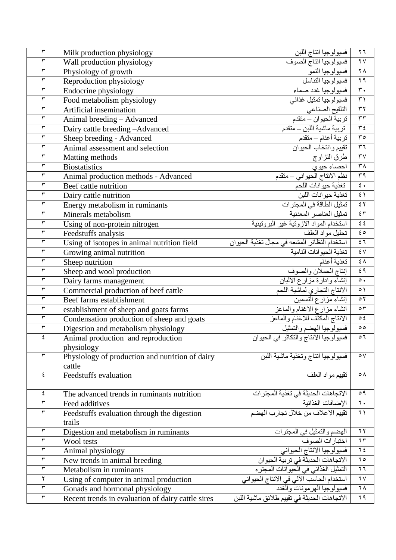| $\mathbf{\breve{v}}$    | Milk production physiology                        | فسيولوجيا انتاج اللبن                        | $\mathbf{y}$                                   |
|-------------------------|---------------------------------------------------|----------------------------------------------|------------------------------------------------|
| $\mathbf{\breve{v}}$    | Wall production physiology                        | فسيولوجيا انتاج الصوف                        | $\mathbf{Y} \mathbf{V}$                        |
| $\overline{\tau}$       | Physiology of growth                              | فسيولوجيا النمو                              | $\overline{\Lambda}$                           |
| $\mathbf{\breve{v}}$    | Reproduction physiology                           | فسيولوجيا التناسل                            | $\overline{Y}$                                 |
| $\overline{\mathbf{r}}$ | Endocrine physiology                              | فسيولوجيا غدد صماء                           | $\overline{\mathbf{r}}$ .                      |
| $\overline{\mathbf{r}}$ | Food metabolism physiology                        | فسيولوجيا تمثيل غذائي                        | $\overline{r}$                                 |
| $\overline{\mathbf{r}}$ | Artificial insemination                           | التلقيح الصناعي                              | $\overline{\tau\tau}$                          |
| $\overline{\mathbf{r}}$ | Animal breeding - Advanced                        | تربية الحيوان - متقدم                        | $\overline{\tau\tau}$                          |
| $\overline{\mathbf{r}}$ | Dairy cattle breeding -Advanced                   |                                              | $\overline{r}$                                 |
| $\overline{\mathbf{r}}$ | Sheep breeding - Advanced                         |                                              | $\overline{\Gamma}$                            |
| $\overline{\mathbf{r}}$ | Animal assessment and selection                   | تقييم وانتخاب الحيوان                        | $\overline{1}$                                 |
| $\overline{\tau}$       | Matting methods                                   | طرق التزاوج                                  | $\overline{Y}V$                                |
| $\overline{\tau}$       | <b>Biostatistics</b>                              | احصاء حيوي                                   | $\overline{\tau}$                              |
| $\overline{\mathbf{r}}$ | Animal production methods - Advanced              | نظم الانتاج الحيواني – متقدم                 | 44                                             |
| $\overline{\mathbf{r}}$ | Beef cattle nutrition                             | تغنية حيوانات اللحم                          | $\epsilon$ .                                   |
| $\overline{\tau}$       | Dairy cattle nutrition                            | تغذية حيوانات اللبن                          | $\overline{\epsilon}$                          |
| $\mathbf{\breve{v}}$    | Energy metabolism in ruminants                    | تمثيل الطاقة في المجترات                     | $\overline{\epsilon}$                          |
| $\overline{\tau}$       | Minerals metabolism                               | تمثيل العناصر المعدنية                       | $\overline{\epsilon}$ $\overline{r}$           |
| $\overline{\mathbf{r}}$ | Using of non-protein nitrogen                     | استخدام المواد الازونية غير البروتينية       | $\xi$ $\xi$                                    |
| $\overline{\mathbf{r}}$ | Feedstuffs analysis                               | تحليل مواد العلف                             | $\overline{\epsilon}$                          |
| $\overline{\mathbf{r}}$ | Using of isotopes in animal nutrition field       | استخدام النظائر المشعه في مجال تغذية الحيوان | 57                                             |
| $\overline{\mathbf{r}}$ | Growing animal nutrition                          | تغذية الحيوانات النامية                      | $\overline{\mathbf{X}}$                        |
| $\overline{\tau}$       | Sheep nutrition                                   | تغذية أغنام                                  | $\overline{\mathfrak{z}}$ $\overline{\Lambda}$ |
| $\overline{\mathbf{r}}$ | Sheep and wool production                         | إنتاج الحملان والصوف                         | $\overline{\xi}$ q                             |
| $\overline{\mathbf{r}}$ | Dairy farms management                            | إنشاء وادارة مزارع الألبان                   | $\circ$ .                                      |
| $\overline{\tau}$       | Commercial production of beef cattle              | الانتاج التجاري لماشية اللحم                 | $\circ$                                        |
| $\overline{\mathbf{r}}$ | Beef farms establishment                          | إنشاء مزارع التسمين                          | $\overline{\mathsf{c}\mathsf{r}}$              |
| $\mathbf{\breve{v}}$    | establishment of sheep and goats farms            | انشاء مزارع الاغنام والماعز                  | $\circ \tau$                                   |
| $\overline{\tau}$       | Condensation production of sheep and goats        | الانتاج المكثف للاغنام والماعز               | $\circ$ {                                      |
| $\mathbf{\breve{v}}$    | Digestion and metabolism physiology               | فسيولوجيا الهضم والتمثيل                     | $\circ$                                        |
| ٤                       | Animal production and reproduction                | فسيولوجيا الانتاج والتكاثر في الحيوان        | $\circ$ 7                                      |
|                         | physiology                                        |                                              |                                                |
| $\overline{\mathbf{r}}$ | Physiology of production and nutrition of dairy   | فسيولوجيا انتاج وتغذية ماشية اللبن           | ٥٧                                             |
|                         | cattle                                            |                                              |                                                |
| ٤                       | Feedstuffs evaluation                             | نقييم مواد العلف                             | $\circ \wedge$                                 |
|                         |                                                   |                                              |                                                |
| ٤                       | The advanced trends in ruminants nutrition        | الاتجاهات الحديثة في تغذية المجترات          | $\circ$ 9                                      |
| $\overline{\mathbf{r}}$ | Feed additives                                    | الإضافات الغذائية                            | $\mathbf{L}$                                   |
| $\mathbf{\breve{y}}$    | Feedstuffs evaluation through the digestion       | .<br>تقييم الاعلاف من خلال تجارب الهضم       | $\mathcal{L}$                                  |
|                         | trails                                            |                                              |                                                |
| $\overline{\mathbf{r}}$ | Digestion and metabolism in ruminants             | الهضم والتمثيل في المجترات                   | $\overline{11}$                                |
| $\mathbf{\breve{v}}$    | Wool tests                                        | اختبارات الصوف                               | ٦٣                                             |
| $\overline{\mathbf{r}}$ | Animal physiology                                 | فسيولوجيا الانتاج الحيواني                   | $\overline{15}$                                |
| $\overline{\tau}$       | New trends in animal breeding                     | الاتجاهات الحديثة في تربية الحيوان           | ٦0                                             |
| $\overline{\mathbf{r}}$ | Metabolism in ruminants                           |                                              | $\overline{\mathbf{u}}$                        |
| $\mathbf Y$             | Using of computer in animal production            | استخدام الحاسب الآلي في الانتاج الحيواني     | 7 <sub>V</sub>                                 |
| $\mathbf{\breve{y}}$    | Gonads and hormonal physiology                    | فسيولوجيا الهرمونات والغدد                   | ٦٨                                             |
| $\overline{\mathbf{r}}$ | Recent trends in evaluation of dairy cattle sires | الاتجاهات الحديثة في تقييم طلائق ماشية اللبن | 79                                             |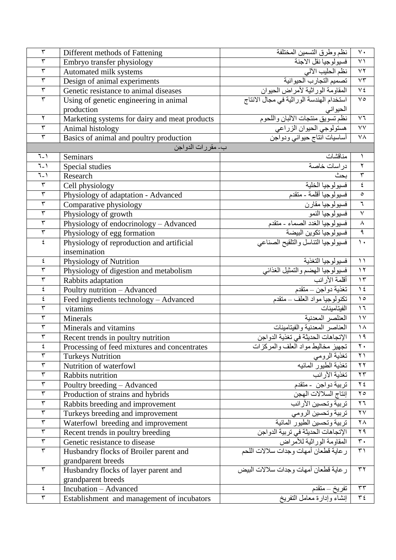| $\mathbf{r}$            | Different methods of Fattening                | نظم وطرق التسمين المختلفة                                                                                     | $\vee$ .                |
|-------------------------|-----------------------------------------------|---------------------------------------------------------------------------------------------------------------|-------------------------|
| $\overline{\tau}$       | Embryo transfer physiology                    | فسيولوجيا نقل الاجنة                                                                                          | $\overline{\LARGE\vee}$ |
| $\overline{\mathbf{r}}$ | Automated milk systems                        | نظم الحليب الآلي                                                                                              | $\overline{Y}$          |
| $\overline{\tau}$       | Design of animal experiments                  | تصميم التجارب الحيوانية<br>المقاومة الوراثية لأمراض الحيوان                                                   | $\overline{Y}$          |
| $\overline{\mathbf{r}}$ | Genetic resistance to animal diseases         |                                                                                                               | $\overline{V}$          |
| ٣                       | Using of genetic engineering in animal        | استخدام الهندسة الوراثية في مجال الانتاج                                                                      | $\sqrt{\circ}$          |
|                         | production                                    | الحيواني                                                                                                      |                         |
| ٢                       | Marketing systems for dairy and meat products | نظم تسويق منتجات الالبان واللحوم                                                                              | $\vee$ 7                |
| $\overline{\mathbf{r}}$ | Animal histology                              | هستولوجي الحيوان الزراعي                                                                                      | $\overline{vv}$         |
| $\overline{\mathbf{r}}$ | Basics of animal and poultry production       | أساسيات آنتاج حيواني ودواجن                                                                                   | ٧٨                      |
|                         | ب- مقررات الدواجن                             |                                                                                                               |                         |
| $7 - 1$                 | Seminars                                      | مناقشات                                                                                                       | ١                       |
| $\overline{1-1}$        | Special studies                               | در اسات خاصة                                                                                                  | ٢                       |
| $7 - 1$                 | Research                                      | بحث                                                                                                           | $\overline{\mathbf{r}}$ |
| $\mathbf{\breve{v}}$    | Cell physiology                               |                                                                                                               | ٤                       |
| $\overline{\mathbf{r}}$ | Physiology of adaptation - Advanced           | فسيولوجيا الخلية<br>فسيولوجيا أقلمة - متقدم                                                                   | $\circ$                 |
| $\overline{\tau}$       | Comparative physiology                        | فسيولوجيا مقارن                                                                                               | ٦                       |
| $\overline{\tau}$       | Physiology of growth                          | فسيولوجيا النمو                                                                                               | $\overline{\mathsf{v}}$ |
| $\overline{\tau}$       | Physiology of endocrinology - Advanced        |                                                                                                               | $\boldsymbol{\wedge}$   |
| $\overline{\tau}$       | Physiology of egg formation                   | <u>سوري</u><br>فسيولوجيا الغدد الصماء - متقدم<br>فسيولوجيا تكوين البيضة<br>فسيولوجيا النتاسل والناقيح الصناعي | ٩                       |
| ٤                       | Physiology of reproduction and artificial     |                                                                                                               | $\mathcal{N}$           |
|                         | insemination                                  |                                                                                                               |                         |
| ٤                       | Physiology of Nutrition                       | فسيولوجيا التغذية                                                                                             | $\setminus$             |
| $\overline{\mathbf{r}}$ | Physiology of digestion and metabolism        |                                                                                                               | $\gamma$                |
| $\overline{\tau}$       | Rabbits adaptation                            |                                                                                                               | $\gamma$                |
| ٤                       | Poultry nutrition - Advanced                  | فسيولوجيا المضم والنمثيل الغذائي<br>أقلمة الأرانب<br>تغذية دواجن – متقدم                                      | $\sqrt{2}$              |
| ٤                       | Feed ingredients technology - Advanced        | تكنولوجيا مواد العلف ــ متقدم                                                                                 | $\Delta$                |
| ٣                       | vitamins                                      | الفيتامينات                                                                                                   | $\overline{1}$          |
| $\mathbf{\breve{v}}$    | Minerals                                      | العنلصر المعدنية                                                                                              | $\gamma$                |
| $\overline{\mathbf{r}}$ | Minerals and vitamins                         | العناصر المعدنية والفينامينات                                                                                 | $\lambda$               |
| $\mathbf{\breve{v}}$    | Recent trends in poultry nutrition            | الإتجاهات الحديثة في تغذية الدواجن<br>  تجهيز مخاليط مواد العلف والمركزات                                     | ۱۹                      |
| ٤                       | Processing of feed mixtures and concentrates  |                                                                                                               | $\overline{\Upsilon}$   |
| $\overline{\mathbf{r}}$ | <b>Turkeys Nutrition</b>                      | تغذية الرومي                                                                                                  | $\Upsilon$              |
| $\overline{\tau}$       | Nutrition of waterfowl                        | تغذية الطيور المائيه                                                                                          | $\gamma \gamma$         |
| $\overline{\mathbf{r}}$ | Rabbits nutrition                             | تغذية الأرانب                                                                                                 | $\mathbf{r}$            |
| $\mathbf{\breve{y}}$    | Poultry breeding - Advanced                   | تربية دواجن - متقدم                                                                                           | $\mathbf{Y} \not\in$    |
| $\overline{\tau}$       | Production of strains and hybrids             | إنتاج السلالات الهجن                                                                                          | $\mathbf{y}$            |
| $\overline{\tau}$       | Rabbits breeding and improvement              | تربية وتحسين الأرانب                                                                                          | ۲٦ $\tau$               |
| $\overline{\mathbf{r}}$ | Turkeys breeding and improvement              | <u>تربية وتحسين الرومي</u><br>تربية وتحسين الطيور المائية                                                     | $\mathbf{Y} \mathbf{V}$ |
| $\overline{\mathbf{r}}$ | Waterfowl breeding and improvement            |                                                                                                               | $\mathsf{Y} \wedge$     |
| $\mathbf{\breve{v}}$    | Recent trends in poultry breeding             | الإتجاهات الحديثة في تربية الدواج <u>ن</u><br>المقاومة الوراثية للأمراض                                       | ۲۹                      |
| $\mathbf{\breve{v}}$    | Genetic resistance to disease                 |                                                                                                               | $\mathbf{r}$ .          |
| $\overline{\tau}$       | Husbandry flocks of Broiler parent and        | رعاية قطعان أمهات وجدات سلالات اللحم                                                                          | $\uparrow$              |
|                         | grandparent breeds                            |                                                                                                               |                         |
| $\mathbf{\breve{r}}$    | Husbandry flocks of layer parent and          | رعاية قطعان أمهات وجدات سلالات البيض                                                                          | $\mathbf{r}$            |
|                         | grandparent breeds                            |                                                                                                               |                         |
| ٤                       | Incubation - Advanced                         | تقريخ – متقدم                                                                                                 | $\tau\tau$              |
| $\overline{\mathbf{r}}$ | Establishment and management of incubators    | إنشاء وإدارة معامل التفريخ                                                                                    | $\overline{\tau}$       |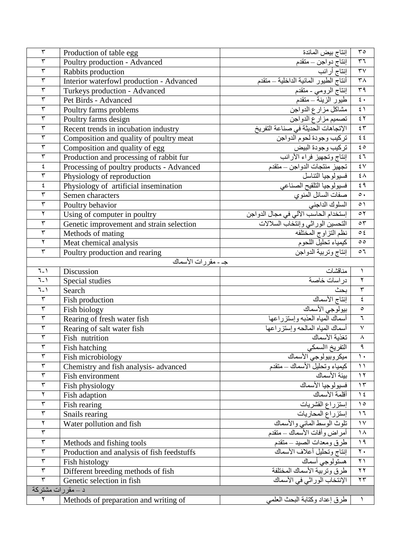| $\overline{\tau}$        | Production of table egg                    | إنتاج بيض المائدة                                            | $r \circ$                          |
|--------------------------|--------------------------------------------|--------------------------------------------------------------|------------------------------------|
| $\overline{\mathbf{r}}$  | Poultry production - Advanced              |                                                              | $\overline{r}$                     |
| $\overline{\mathbf{r}}$  | Rabbits production                         |                                                              | $\overline{\mathsf{r} \mathsf{v}}$ |
| $\overline{\tau}$        | Interior waterfowl production - Advanced   | أنتاج الطيور المائية الداخلية – متقدم                        | $\overline{r}$                     |
| $\overline{\mathbf{r}}$  | Turkeys production - Advanced              | إنتاج الرومي - متقدم                                         | $\overline{r}$                     |
| $\overline{\tau}$        | Pet Birds - Advanced                       | طيور الزينة – متقدم                                          | $\overline{\epsilon}$ .            |
| $\mathbf{\breve{v}}$     | Poultry farms problems                     | مشاكل مزارع الدواجن                                          | $\overline{\epsilon}$              |
| $\overline{\tau}$        | Poultry farms design                       | تصميم مزارع الدواجن                                          | $\overline{\epsilon}$              |
| $\overline{\mathbf{r}}$  | Recent trends in incubation industry       | الإتجاهات الحديثة في صناعة التفريخ                           | $\overline{\epsilon}$              |
| $\mathbf{\breve{v}}$     | Composition and quality of poultry meat    | تركيب وجودة لحوم الدواجن                                     | $\mathfrak{z}$ $\mathfrak{z}$      |
| $\overline{\mathbf{r}}$  | Composition and quality of egg             | تركيب وجودة البيض<br>إنتاج وتجهيز فراء الأرانب               | $\epsilon \circ$                   |
| $\mathbf{\breve{v}}$     | Production and processing of rabbit fur    |                                                              | $\overline{\epsilon}$              |
| $\acute{\boldsymbol{z}}$ | Processing of poultry products - Advanced  |                                                              | $\overline{\mathbf{X}}$            |
| $\overline{\mathbf{r}}$  | Physiology of reproduction                 | تجهيّز منتجات الدواجن – متقدم<br>فسيولوجيا التناسل           | $\overline{\epsilon}$              |
| $\epsilon$               | Physiology of artificial insemination      | فسيولوجيا التلقيح الصناعي                                    | ٤٩                                 |
| $\overline{\mathbf{r}}$  | Semen characters                           | صفات السائل المذوي                                           | $\circ$ .                          |
| $\overline{\tau}$        | Poultry behavior                           | السلوك الداجني                                               | $\circ$                            |
| $\overline{\mathbf{r}}$  | Using of computer in poultry               | إستخدام الحاسب الألي في مجال الدواجن                         | $\circ$ $\mathbf{\check{r}}$       |
| $\overline{\mathbf{r}}$  | Genetic improvement and strain selection   | التحسين الوراثي وإنتخاب السلالات                             | $\circ \tau$                       |
| $\overline{\mathbf{r}}$  | Methods of mating                          | نظم التزاوج المختلفه<br>كيمياء تحليل اللحوم                  | $\circ$ {                          |
| ٢                        | Meat chemical analysis                     |                                                              | $\circ$                            |
| $\overline{\mathsf{r}}$  | Poultry production and rearing             | إنتاج وتربية الدواجن                                         | $\circ$                            |
|                          | جـ - مقرر ات الأسماك                       |                                                              |                                    |
| $7 - 1$                  | Discussion                                 | مناقشات                                                      | $\lambda$                          |
| $7 - 1$                  | Special studies                            | در اسات خاصىة                                                | ٢                                  |
| $7 - 1$                  | Search                                     | بحث                                                          | $\overline{\mathbf{r}}$            |
| $\overline{\mathbf{r}}$  | Fish production                            | إنتاج الأسماك                                                | $\pmb{\xi}$                        |
| $\overline{\mathbf{r}}$  | Fish biology                               | بيولوجي الأسماك                                              | $\circ$                            |
| $\overline{\mathbf{r}}$  | Rearing of fresh water fish                | أسماك المياه العذبه وإستزراعها                               | ٦                                  |
| $\overline{\tau}$        | Rearing of salt water fish                 | أسماك المياه المالحه وإستزراعها                              | $\overline{\mathsf{v}}$            |
| $\overline{\tau}$        | Fish nutrition                             | تغذية الأسماك                                                | $\boldsymbol{\wedge}$              |
| ٣                        | Fish hatching                              | التفريخ االسمكي                                              | $\overline{\mathsf{a}}$            |
| $\overline{\mathbf{r}}$  | Fish microbiology                          |                                                              | $\mathcal{L}$                      |
| $\overline{\tau}$        | Chemistry and fish analysis-advanced       | ـ ميكر وبيولوجي الأسماك<br>ـ كيمياء وتحليل الأسماك ـــ متقدم | $\setminus$                        |
| $\overline{\tau}$        | Fish environment                           | بيئة الأسماك                                                 | $\gamma$                           |
| $\mathbf{\breve{v}}$     | Fish physiology                            | فسيولوجيا الأسماك                                            | $\gamma \tau$                      |
| ٢                        | Fish adaption                              | أقلمة الأسماك                                                | $\frac{1}{2}$                      |
| $\mathbf{\tilde{r}}$     | Fish rearing                               | إستزراع القشريات                                             | $\lambda$                          |
| $\mathbf{\breve{v}}$     | Snails rearing                             | إستزراع المحاريات                                            | $\mathcal{L}$                      |
| $\overline{\mathbf{r}}$  | Water pollution and fish                   | تلوث الوسط المائي والأسماك                                   | $\gamma$                           |
| $\overline{\mathbf{r}}$  |                                            | أمراض وأفات الأسماك ــ متقدم                                 | $\lambda$                          |
| $\overline{\tau}$        | Methods and fishing tools                  | طرق ومعدات الصبد ـ متقدم                                     | 19                                 |
| $\overline{\tau}$        | Production and analysis of fish feedstuffs |                                                              | $\mathbf{Y}$ .                     |
| $\mathbf{\breve{v}}$     | Fish histology                             | هستولوجي أسماك                                               | $\uparrow$ )                       |
| $\overline{\tau}$        | Different breeding methods of fish         | طرق وتربية الأسماك المختلفة                                  | $\gamma \gamma$                    |
| $\overline{\mathbf{r}}$  | Genetic selection in fish                  | الإنتخاب الوراثي في الأسماك                                  | $\mathbf{y}$                       |
| د ــ مقررات مشتركة       |                                            |                                                              |                                    |
| ٢                        | Methods of preparation and writing of      | طرق إعداد وكتابة البحث العلمي                                | $\rightarrow$                      |